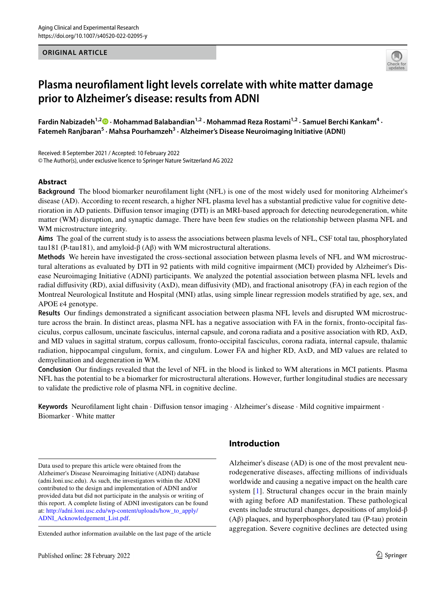## **ORIGINAL ARTICLE**



# **Plasma neuroflament light levels correlate with white matter damage prior to Alzheimer's disease: results from ADNI**

Fardin Nabizadeh<sup>1,2</sup><sup>0</sup> [·](http://orcid.org/0000-0002-4633-3340) Mohammad Balabandian<sup>1,2</sup> · Mohammad Reza Rostami<sup>1,2</sup> · Samuel Berchi Kankam<sup>4</sup> · Fatemeh Ranjbaran<sup>5</sup> · Mahsa Pourhamzeh<sup>3</sup> · Alzheimer's Disease Neuroimaging Initiative (ADNI)

Received: 8 September 2021 / Accepted: 10 February 2022 © The Author(s), under exclusive licence to Springer Nature Switzerland AG 2022

## **Abstract**

**Background** The blood biomarker neuroflament light (NFL) is one of the most widely used for monitoring Alzheimer's disease (AD). According to recent research, a higher NFL plasma level has a substantial predictive value for cognitive deterioration in AD patients. Difusion tensor imaging (DTI) is an MRI-based approach for detecting neurodegeneration, white matter (WM) disruption, and synaptic damage. There have been few studies on the relationship between plasma NFL and WM microstructure integrity.

**Aims** The goal of the current study is to assess the associations between plasma levels of NFL, CSF total tau, phosphorylated tau181 (P-tau181), and amyloid-β (Aβ) with WM microstructural alterations.

**Methods** We herein have investigated the cross-sectional association between plasma levels of NFL and WM microstructural alterations as evaluated by DTI in 92 patients with mild cognitive impairment (MCI) provided by Alzheimer's Disease Neuroimaging Initiative (ADNI) participants. We analyzed the potential association between plasma NFL levels and radial difusivity (RD), axial difusivity (AxD), mean difusivity (MD), and fractional anisotropy (FA) in each region of the Montreal Neurological Institute and Hospital (MNI) atlas, using simple linear regression models stratifed by age, sex, and APOE ε4 genotype.

**Results** Our fndings demonstrated a signifcant association between plasma NFL levels and disrupted WM microstructure across the brain. In distinct areas, plasma NFL has a negative association with FA in the fornix, fronto-occipital fasciculus, corpus callosum, uncinate fasciculus, internal capsule, and corona radiata and a positive association with RD, AxD, and MD values in sagittal stratum, corpus callosum, fronto-occipital fasciculus, corona radiata, internal capsule, thalamic radiation, hippocampal cingulum, fornix, and cingulum. Lower FA and higher RD, AxD, and MD values are related to demyelination and degeneration in WM.

**Conclusion** Our fndings revealed that the level of NFL in the blood is linked to WM alterations in MCI patients. Plasma NFL has the potential to be a biomarker for microstructural alterations. However, further longitudinal studies are necessary to validate the predictive role of plasma NFL in cognitive decline.

**Keywords** Neuroflament light chain · Difusion tensor imaging · Alzheimer's disease · Mild cognitive impairment · Biomarker · White matter

Data used to prepare this article were obtained from the Alzheimer's Disease Neuroimaging Initiative (ADNI) database (adni.loni.usc.edu). As such, the investigators within the ADNI contributed to the design and implementation of ADNI and/or provided data but did not participate in the analysis or writing of this report. A complete listing of ADNI investigators can be found at: [http://adni.loni.usc.edu/wp-content/uploads/how\\_to\\_apply/](http://adni.loni.usc.edu/wp-content/uploads/how_to_apply/ADNI_Acknowledgement_List.pdf) [ADNI\\_Acknowledgement\\_List.pdf.](http://adni.loni.usc.edu/wp-content/uploads/how_to_apply/ADNI_Acknowledgement_List.pdf)

Extended author information available on the last page of the article

# **Introduction**

Alzheimer's disease (AD) is one of the most prevalent neurodegenerative diseases, afecting millions of individuals worldwide and causing a negative impact on the health care system [[1\]](#page-8-0). Structural changes occur in the brain mainly with aging before AD manifestation. These pathological events include structural changes, depositions of amyloid-β (Aβ) plaques, and hyperphosphorylated tau (P-tau) protein aggregation. Severe cognitive declines are detected using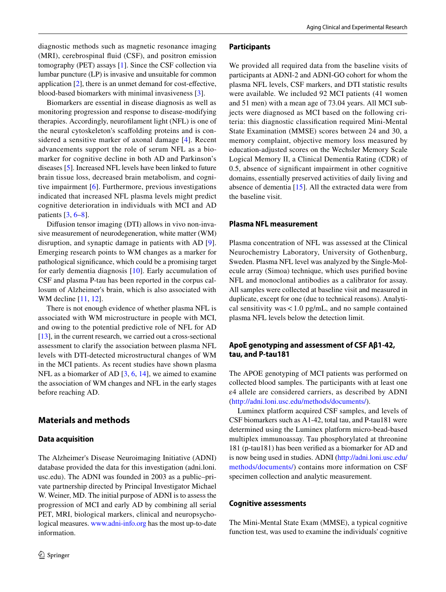diagnostic methods such as magnetic resonance imaging (MRI), cerebrospinal fuid (CSF), and positron emission tomography (PET) assays [[1\]](#page-8-0). Since the CSF collection via lumbar puncture (LP) is invasive and unsuitable for common application [\[2](#page-8-1)], there is an unmet demand for cost-efective, blood-based biomarkers with minimal invasiveness [\[3](#page-8-2)].

Biomarkers are essential in disease diagnosis as well as monitoring progression and response to disease-modifying therapies. Accordingly, neuroflament light (NFL) is one of the neural cytoskeleton's scafolding proteins and is considered a sensitive marker of axonal damage [[4](#page-8-3)]. Recent advancements support the role of serum NFL as a biomarker for cognitive decline in both AD and Parkinson's diseases [[5\]](#page-8-4). Increased NFL levels have been linked to future brain tissue loss, decreased brain metabolism, and cognitive impairment [[6](#page-8-5)]. Furthermore, previous investigations indicated that increased NFL plasma levels might predict cognitive deterioration in individuals with MCI and AD patients  $[3, 6-8]$  $[3, 6-8]$  $[3, 6-8]$  $[3, 6-8]$ .

Difusion tensor imaging (DTI) allows in vivo non-invasive measurement of neurodegeneration, white matter (WM) disruption, and synaptic damage in patients with AD [[9](#page-8-7)]. Emerging research points to WM changes as a marker for pathological signifcance, which could be a promising target for early dementia diagnosis [[10](#page-8-8)]. Early accumulation of CSF and plasma P-tau has been reported in the corpus callosum of Alzheimer's brain, which is also associated with WM decline [[11](#page-8-9), [12](#page-8-10)].

There is not enough evidence of whether plasma NFL is associated with WM microstructure in people with MCI, and owing to the potential predictive role of NFL for AD [\[13](#page-8-11)], in the current research, we carried out a cross-sectional assessment to clarify the association between plasma NFL levels with DTI-detected microstructural changes of WM in the MCI patients. As recent studies have shown plasma NFL as a biomarker of AD [\[3](#page-8-2), [6](#page-8-5), [14](#page-8-12)], we aimed to examine the association of WM changes and NFL in the early stages before reaching AD.

## **Materials and methods**

#### **Data acquisition**

The Alzheimer's Disease Neuroimaging Initiative (ADNI) database provided the data for this investigation (adni.loni. usc.edu). The ADNI was founded in 2003 as a public–private partnership directed by Principal Investigator Michael W. Weiner, MD. The initial purpose of ADNI is to assess the progression of MCI and early AD by combining all serial PET, MRI, biological markers, clinical and neuropsychological measures. [www.adni-info.org](http://www.adni-info.org) has the most up-to-date information.

#### **Participants**

We provided all required data from the baseline visits of participants at ADNI-2 and ADNI-GO cohort for whom the plasma NFL levels, CSF markers, and DTI statistic results were available. We included 92 MCI patients (41 women and 51 men) with a mean age of 73.04 years. All MCI subjects were diagnosed as MCI based on the following criteria: this diagnostic classifcation required Mini-Mental State Examination (MMSE) scores between 24 and 30, a memory complaint, objective memory loss measured by education-adjusted scores on the Wechsler Memory Scale Logical Memory II, a Clinical Dementia Rating (CDR) of 0.5, absence of signifcant impairment in other cognitive domains, essentially preserved activities of daily living and absence of dementia [[15\]](#page-8-13). All the extracted data were from the baseline visit.

## **Plasma NFL measurement**

Plasma concentration of NFL was assessed at the Clinical Neurochemistry Laboratory, University of Gothenburg, Sweden. Plasma NFL level was analyzed by the Single-Molecule array (Simoa) technique, which uses purifed bovine NFL and monoclonal antibodies as a calibrator for assay. All samples were collected at baseline visit and measured in duplicate, except for one (due to technical reasons). Analytical sensitivity was  $< 1.0$  pg/mL, and no sample contained plasma NFL levels below the detection limit.

## **ApoE genotyping and assessment of CSF Aβ1‑42, tau, and P‑tau181**

The APOE genotyping of MCI patients was performed on collected blood samples. The participants with at least one ε4 allele are considered carriers, as described by ADNI (<http://adni.loni.usc.edu/methods/documents/>).

Luminex platform acquired CSF samples, and levels of CSF biomarkers such as A1-42, total tau, and P-tau181 were determined using the Luminex platform micro-bead-based multiplex immunoassay. Tau phosphorylated at threonine 181 (p-tau181) has been verifed as a biomarker for AD and is now being used in studies. ADNI [\(http://adni.loni.usc.edu/](http://adni.loni.usc.edu/methods/documents/) [methods/documents/](http://adni.loni.usc.edu/methods/documents/)) contains more information on CSF specimen collection and analytic measurement.

## **Cognitive assessments**

The Mini-Mental State Exam (MMSE), a typical cognitive function test, was used to examine the individuals' cognitive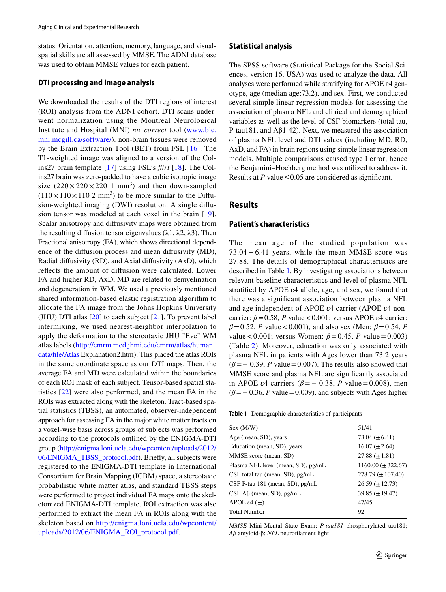status. Orientation, attention, memory, language, and visualspatial skills are all assessed by MMSE. The ADNI database was used to obtain MMSE values for each patient.

### **DTI processing and image analysis**

We downloaded the results of the DTI regions of interest (ROI) analysis from the ADNI cohort. DTI scans underwent normalization using the Montreal Neurological Institute and Hospital (MNI) *nu\_correct* tool [\(www.bic.](http://www.bic.mni.mcgill.ca/software/) [mni.mcgill.ca/software/](http://www.bic.mni.mcgill.ca/software/)). non-brain tissues were removed by the Brain Extraction Tool (BET) from FSL [\[16\]](#page-8-14). The T1-weighted image was aligned to a version of the Colins27 brain template [\[17\]](#page-8-15) using FSL's *firt* [[18\]](#page-8-16). The Colins27 brain was zero-padded to have a cubic isotropic image size  $(220 \times 220 \times 220 \text{ 1 mm}^3)$  and then down-sampled  $(110 \times 110 \times 110 2 \text{ mm}^3)$  to be more similar to the Diffusion-weighted imaging (DWI) resolution. A single difusion tensor was modeled at each voxel in the brain [[19](#page-8-17)]. Scalar anisotropy and difusivity maps were obtained from the resulting diffusion tensor eigenvalues ( $\lambda$ 1,  $\lambda$ 2,  $\lambda$ 3). Then Fractional anisotropy (FA), which shows directional dependence of the difusion process and mean difusivity (MD), Radial difusivity (RD), and Axial difusivity (AxD), which refects the amount of difusion were calculated. Lower FA and higher RD, AxD, MD are related to demyelination and degeneration in WM. We used a previously mentioned shared information-based elastic registration algorithm to allocate the FA image from the Johns Hopkins University (JHU) DTI atlas  $[20]$  $[20]$  to each subject  $[21]$  $[21]$ . To prevent label intermixing, we used nearest-neighbor interpolation to apply the deformation to the stereotaxic JHU "Eve" WM atlas labels ([http://cmrm.med.jhmi.edu/cmrm/atlas/human\\_](http://cmrm.med.jhmi.edu/cmrm/atlas/human_data/file/Atlas) [data/fle/Atlas](http://cmrm.med.jhmi.edu/cmrm/atlas/human_data/file/Atlas) Explanation2.htm). This placed the atlas ROIs in the same coordinate space as our DTI maps. Then, the average FA and MD were calculated within the boundaries of each ROI mask of each subject. Tensor-based spatial statistics [[22](#page-8-20)] were also performed, and the mean FA in the ROIs was extracted along with the skeleton. Tract-based spatial statistics (TBSS), an automated, observer-independent approach for assessing FA in the major white matter tracts on a voxel-wise basis across groups of subjects was performed according to the protocols outlined by the ENIGMA-DTI group ([http://enigma.loni.ucla.edu/wpcontent/uploads/2012/](http://enigma.loni.ucla.edu/wpcontent/uploads/2012/06/ENIGMA_TBSS_protocol.pdf) [06/ENIGMA\\_TBSS\\_protocol.pdf\)](http://enigma.loni.ucla.edu/wpcontent/uploads/2012/06/ENIGMA_TBSS_protocol.pdf). Briefy, all subjects were registered to the ENIGMA-DTI template in International Consortium for Brain Mapping (ICBM) space, a stereotaxic probabilistic white matter atlas, and standard TBSS steps were performed to project individual FA maps onto the skeletonized ENIGMA-DTI template. ROI extraction was also performed to extract the mean FA in ROIs along with the skeleton based on [http://enigma.loni.ucla.edu/wpcontent/](http://enigma.loni.ucla.edu/wpcontent/uploads/2012/06/ENIGMA_ROI_protocol.pdf) [uploads/2012/06/ENIGMA\\_ROI\\_protocol.pdf](http://enigma.loni.ucla.edu/wpcontent/uploads/2012/06/ENIGMA_ROI_protocol.pdf).

#### **Statistical analysis**

The SPSS software (Statistical Package for the Social Sciences, version 16, USA) was used to analyze the data. All analyses were performed while stratifying for APOE ε4 genotype, age (median age:73.2), and sex. First, we conducted several simple linear regression models for assessing the association of plasma NFL and clinical and demographical variables as well as the level of CSF biomarkers (total tau, P-tau181, and Aβ1-42). Next, we measured the association of plasma NFL level and DTI values (including MD, RD, AxD, and FA) in brain regions using simple linear regression models. Multiple comparisons caused type I error; hence the Benjamini–Hochberg method was utilized to address it. Results at *P* value  $\leq$  0.05 are considered as significant.

## **Results**

#### **Patient's characteristics**

The mean age of the studied population was  $73.04 \pm 6.41$  years, while the mean MMSE score was 27.88. The details of demographical characteristics are described in Table [1](#page-2-0). By investigating associations between relevant baseline characteristics and level of plasma NFL stratified by APOE  $\varepsilon$ 4 allele, age, and sex, we found that there was a signifcant association between plasma NFL and age independent of APOE ε4 carrier (APOE ε4 noncarrier:  $\beta = 0.58$ , *P* value <0.001; versus APOE  $\varepsilon$ 4 carrier:  $\beta = 0.52$ , *P* value < 0.001), and also sex (Men:  $\beta = 0.54$ , *P*  $value < 0.001$ ; versus Women: *β* = 0.45, *P* value = 0.003) (Table [2](#page-3-0)). Moreover, education was only associated with plasma NFL in patients with Ages lower than 73.2 years  $(\beta = 0.39, P$  value=0.007). The results also showed that MMSE score and plasma NFL are signifcantly associated in APOE  $\varepsilon$ 4 carriers ( $\beta$ = − 0.38, *P* value = 0.008), men  $(\beta = -0.36, P$  value=0.009), and subjects with Ages higher

<span id="page-2-0"></span>

| <b>Table 1</b> Demographic characteristics of participants |  |
|------------------------------------------------------------|--|
|------------------------------------------------------------|--|

| Sex (M/W)                           | 51/41                    |
|-------------------------------------|--------------------------|
| Age (mean, SD), years               | 73.04 $(\pm 6.41)$       |
| Education (mean, SD), years         | $16.07 \ (\pm 2.64)$     |
| MMSE score (mean, SD)               | $27.88 \ (\pm 1.81)$     |
| Plasma NFL level (mean, SD), pg/mL  | $1160.00 \ (\pm 322.67)$ |
| $CSF$ total tau (mean, SD), $pg/mL$ | $278.79 \ (\pm 107.40)$  |
| $CSF$ P-tau 181 (mean, SD), pg/mL   | $26.59 \ (\pm 12.73)$    |
| $CSF$ A $\beta$ (mean, SD), pg/mL   | $39.85 \ (\pm 19.47)$    |
| APOE $\varepsilon$ 4 ( $\pm$ )      | 47/45                    |
| <b>Total Number</b>                 | 92                       |
|                                     |                          |

*MMSE* Mini-Mental State Exam; *P-tau181* phosphorylated tau181; *Aβ* amyloid-β; *NFL* neuroflament light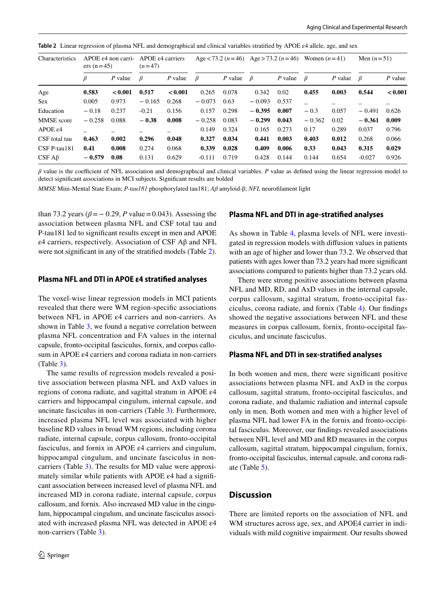| Characteristics   | $APOE \epsilon4$ non carri-<br>$ers (n=45)$ |           | $APOE \epsilon4$ carriers<br>$(n=47)$ |           | Age $<$ 73.2 (n = 46) |         | Age > 73.2 $(n=46)$ |           | Women $(n=41)$ |         | Men $(n=51)$ |           |
|-------------------|---------------------------------------------|-----------|---------------------------------------|-----------|-----------------------|---------|---------------------|-----------|----------------|---------|--------------|-----------|
|                   | ß                                           | $P$ value | $\beta$                               | $P$ value | $\beta$               | P value | $\beta$             | $P$ value | $\beta$        | P value | β            | $P$ value |
| Age               | 0.583                                       | < 0.001   | 0.517                                 | < 0.001   | 0.265                 | 0.078   | 0.342               | 0.02      | 0.455          | 0.003   | 0.544        | < 0.001   |
| <b>Sex</b>        | 0.005                                       | 0.973     | $-0.165$                              | 0.268     | $-0.073$              | 0.63    | $-0.093$            | 0.537     |                |         |              |           |
| Education         | $-0.18$                                     | 0.237     | $-0.21$                               | 0.156     | 0.157                 | 0.298   | $-0.395$            | 0.007     | $-0.3$         | 0.057   | $-0.491$     | 0.626     |
| <b>MMSE</b> score | $-0.258$                                    | 0.088     | $-0.38$                               | 0.008     | $-0.258$              | 0.083   | $-0.299$            | 0.043     | $-0.362$       | 0.02    | $-0.361$     | 0.009     |
| $APOE \epsilon 4$ |                                             |           |                                       |           | 0.149                 | 0.324   | 0.165               | 0.273     | 0.17           | 0.289   | 0.037        | 0.796     |
| CSF total tau     | 0.463                                       | 0.002     | 0.296                                 | 0.048     | 0.327                 | 0.034   | 0.441               | 0.003     | 0.403          | 0.012   | 0.268        | 0.066     |
| $CSF$ P-tau181    | 0.41                                        | 0.008     | 0.274                                 | 0.068     | 0.339                 | 0.028   | 0.409               | 0.006     | 0.33           | 0.043   | 0.315        | 0.029     |
| $CSF A\beta$      | $-0.579$                                    | 0.08      | 0.131                                 | 0.629     | $-0.111$              | 0.719   | 0.428               | 0.144     | 0.144          | 0.654   | $-0.027$     | 0.926     |

<span id="page-3-0"></span>**Table 2** Linear regression of plasma NFL and demographical and clinical variables stratifed by APOE ε4 allele, age, and sex

 $\beta$  value is the coefficient of NFL association and demographical and clinical variables. *P* value as defined using the linear regression model to detect signifcant associations in MCI subjects. Signifcant results are bolded

*MMSE* Mini-Mental State Exam; *P-tau181* phosphorylated tau181; *Aβ* amyloid-β; *NFL* neuroflament light

than 73.2 years ( $\beta$ = − 0.29, *P* value = 0.043). Assessing the association between plasma NFL and CSF total tau and P-tau181 led to signifcant results except in men and APOE ε4 carriers, respectively. Association of CSF Aβ and NFL were not signifcant in any of the stratifed models (Table [2](#page-3-0)).

#### **Plasma NFL and DTI in APOE ε4 stratifed analyses**

The voxel-wise linear regression models in MCI patients revealed that there were WM region-specifc associations between NFL in APOE ε4 carriers and non-carriers. As shown in Table [3](#page-4-0), we found a negative correlation between plasma NFL concentration and FA values in the internal capsule, fronto-occipital fasciculus, fornix, and corpus callosum in APOE ε4 carriers and corona radiata in non-carriers (Table [3\)](#page-4-0).

The same results of regression models revealed a positive association between plasma NFL and AxD values in regions of corona radiate, and sagittal stratum in APOE ε4 carriers and hippocampal cingulum, internal capsule, and uncinate fasciculus in non-carriers (Table [3](#page-4-0)). Furthermore, increased plasma NFL level was associated with higher baseline RD values in broad WM regions, including corona radiate, internal capsule, corpus callosum, fronto-occipital fasciculus, and fornix in APOE ε4 carriers and cingulum, hippocampal cingulum, and uncinate fasciculus in noncarriers (Table [3\)](#page-4-0). The results for MD value were approximately similar while patients with APOE  $\varepsilon$ 4 had a significant association between increased level of plasma NFL and increased MD in corona radiate, internal capsule, corpus callosum, and fornix. Also increased MD value in the cingulum, hippocampal cingulum, and uncinate fasciculus associated with increased plasma NFL was detected in APOE ε4 non-carriers (Table [3](#page-4-0)).

#### **Plasma NFL and DTI in age‑stratifed analyses**

As shown in Table [4](#page-5-0), plasma levels of NFL were investigated in regression models with difusion values in patients with an age of higher and lower than 73.2. We observed that patients with ages lower than 73.2 years had more signifcant associations compared to patients higher than 73.2 years old.

There were strong positive associations between plasma NFL and MD, RD, and AxD values in the internal capsule, corpus callosum, sagittal stratum, fronto-occipital fasciculus, corona radiate, and fornix (Table [4\)](#page-5-0). Our fndings showed the negative associations between NFL and these measures in corpus callosum, fornix, fronto-occipital fasciculus, and uncinate fasciculus.

#### **Plasma NFL and DTI in sex‑stratifed analyses**

In both women and men, there were signifcant positive associations between plasma NFL and AxD in the corpus callosum, sagittal stratum, fronto-occipital fasciculus, and corona radiate, and thalamic radiation and internal capsule only in men. Both women and men with a higher level of plasma NFL had lower FA in the fornix and fronto-occipital fasciculus. Moreover, our fndings revealed associations between NFL level and MD and RD measures in the corpus callosum, sagittal stratum, hippocampal cingulum, fornix, fronto-occipital fasciculus, internal capsule, and corona radiate (Table [5\)](#page-6-0).

# **Discussion**

There are limited reports on the association of NFL and WM structures across age, sex, and APOE4 carrier in individuals with mild cognitive impairment. Our results showed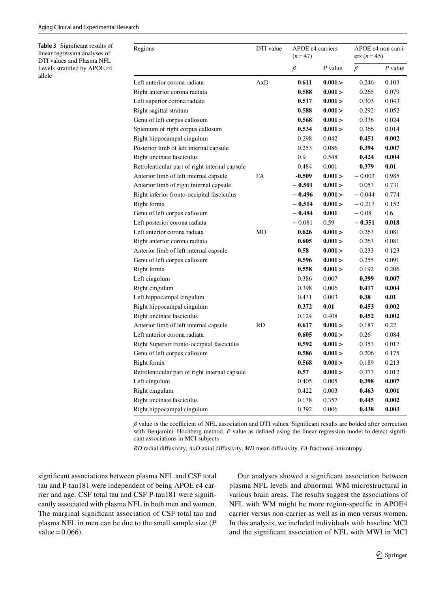<span id="page-4-0"></span>**Table 3** Signifcant results of linear regression analyses of DTI values and Plasma NFL Levels stratifed by APOE ε4 allele

| Regions                                        | DTI value | APOE $\varepsilon$ 4 carriers<br>$(n=47)$ |         | APOE $\varepsilon$ 4 non carri-<br>ers $(n=45)$ |           |
|------------------------------------------------|-----------|-------------------------------------------|---------|-------------------------------------------------|-----------|
|                                                |           | β                                         | P value | $\beta$                                         | $P$ value |
| Left anterior corona radiata                   | AxD       | 0.611                                     | 0.001 > | 0.246                                           | 0.103     |
| Right anterior corona radiata                  |           | 0.588                                     | 0.001 > | 0.265                                           | 0.079     |
| Left superior corona radiata                   |           | 0.517                                     | 0.001 > | 0.303                                           | 0.043     |
| Right sagittal stratum                         |           | 0.588                                     | 0.001 > | 0.292                                           | 0.052     |
| Genu of left corpus callosum                   |           | 0.568                                     | 0.001 > | 0.336                                           | 0.024     |
| Splenium of right corpus callosum              |           | 0.534                                     | 0.001 > | 0.366                                           | 0.014     |
| Right hippocampal cingulum                     |           | 0.298                                     | 0.042   | 0.451                                           | 0.002     |
| Posterior limb of left internal capsule        |           | 0.253                                     | 0.086   | 0.394                                           | 0.007     |
| Right uncinate fasciculus                      |           | 0.9                                       | 0.548   | 0.424                                           | 0.004     |
| Retrolenticular part of right internal capsule |           | 0.484                                     | 0.001   | 0.379                                           | 0.01      |
| Anterior limb of left internal capsule         | FA        | $-0.509$                                  | 0.001 > | $-0.003$                                        | 0.985     |
| Anterior limb of right internal capsule        |           | $-0.501$                                  | 0.001 > | 0.053                                           | 0.731     |
| Right inferior fronto-occipital fasciculus     |           | $-0.496$                                  | 0.001 > | $-0.044$                                        | 0.774     |
| Right fornix                                   |           | $-0.514$                                  | 0.001 > | $-0.217$                                        | 0.152     |
| Genu of left corpus callosum                   |           | $-0.484$                                  | 0.001   | $-0.08$                                         | 0.6       |
| Left posterior corona radiata                  |           | $-0.081$                                  | 0.59    | $-0.351$                                        | 0.018     |
| Left anterior corona radiata                   | MD        | 0.626                                     | 0.001 > | 0.263                                           | 0.081     |
| Right anterior corona radiata                  |           | 0.605                                     | 0.001 > | 0.263                                           | 0.081     |
| Anterior limb of left internal capsule         |           | 0.58                                      | 0.001 > | 0.233                                           | 0.123     |
| Genu of left corpus callosum                   |           | 0.596                                     | 0.001 > | 0.255                                           | 0.091     |
| Right fornix                                   |           | 0.558                                     | 0.001 > | 0.192                                           | 0.206     |
| Left cingulum                                  |           | 0.386                                     | 0.007   | 0.399                                           | 0.007     |
| Right cingulum                                 |           | 0.398                                     | 0.006   | 0.417                                           | 0.004     |
| Left hippocampal cingulum                      |           | 0.431                                     | 0.003   | 0.38                                            | 0.01      |
| Right hippocampal cingulum                     |           | 0.372                                     | 0.01    | 0.453                                           | 0.002     |
| Right uncinate fasciculus                      |           | 0.124                                     | 0.408   | 0.452                                           | 0.002     |
| Anterior limb of left internal capsule         | RD        | 0.617                                     | 0.001 > | 0.187                                           | 0.22      |
| Left anterior corona radiata                   |           | 0.605                                     | 0.001 > | 0.26                                            | 0.084     |
| Right Superior fronto-occipital fasciculus     |           | 0.592                                     | 0.001 > | 0.353                                           | 0.017     |
| Genu of left corpus callosum                   |           | 0.586                                     | 0.001 > | 0.206                                           | 0.175     |
| Right fornix                                   |           | 0.568                                     | 0.001 > | 0.189                                           | 0.213     |
| Retrolenticular part of right internal capsule |           | 0.57                                      | 0.001 > | 0.373                                           | 0.012     |
| Left cingulum                                  |           | 0.405                                     | 0.005   | 0.398                                           | 0.007     |
| Right cingulum                                 |           | 0.422                                     | 0.003   | 0.463                                           | 0.001     |
| Right uncinate fasciculus                      |           | 0.138                                     | 0.357   | 0.445                                           | 0.002     |
| Right hippocampal cingulum                     |           | 0.392                                     | 0.006   | 0.438                                           | 0.003     |

 $\beta$  value is the coefficient of NFL association and DTI values. Significant results are bolded after correction with Benjamini–Hochberg method. *P* value as defined using the linear regression model to detect significant associations in MCI subjects

*RD* radial difusivity, *AxD* axial difusivity, *MD* mean difusivity, *FA* fractional anisotropy

signifcant associations between plasma NFL and CSF total tau and P-tau181 were independent of being APOE ε4 carrier and age. CSF total tau and CSF P-tau181 were signifcantly associated with plasma NFL in both men and women. The marginal signifcant association of CSF total tau and plasma NFL in men can be due to the small sample size (*P*  $value = 0.066$ .

Our analyses showed a signifcant association between plasma NFL levels and abnormal WM microstructural in various brain areas. The results suggest the associations of NFL with WM might be more region-specifc in APOE4 carrier versus non-carrier as well as in men versus women. In this analysis, we included individuals with baseline MCI and the signifcant association of NFL with MWI in MCI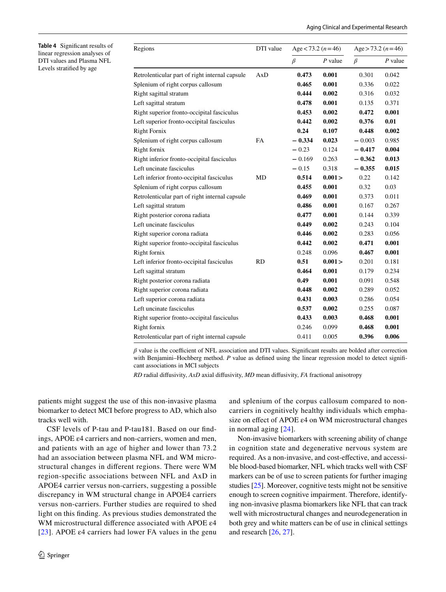<span id="page-5-0"></span>**Table 4** Signifcant results of linear regression analyses of DTI values and Plasma NFL Levels stratifed by age

| Regions                                        | DTI value | Age $<$ 73.2 (n = 46) |           | Age > 73.2 $(n=46)$ |           |  |
|------------------------------------------------|-----------|-----------------------|-----------|---------------------|-----------|--|
|                                                |           | $\beta$               | $P$ value | $\beta$             | $P$ value |  |
| Retrolenticular part of right internal capsule | AxD       | 0.473                 | 0.001     | 0.301               | 0.042     |  |
| Splenium of right corpus callosum              |           | 0.465                 | 0.001     | 0.336               | 0.022     |  |
| Right sagittal stratum                         |           | 0.444                 | 0.002     | 0.316               | 0.032     |  |
| Left sagittal stratum                          |           | 0.478                 | 0.001     | 0.135               | 0.371     |  |
| Right superior fronto-occipital fasciculus     |           | 0.453                 | 0.002     | 0.472               | 0.001     |  |
| Left superior fronto-occipital fasciculus      |           | 0.442                 | 0.002     | 0.376               | 0.01      |  |
| <b>Right Fornix</b>                            |           | 0.24                  | 0.107     | 0.448               | 0.002     |  |
| Splenium of right corpus callosum              | <b>FA</b> | $-0.334$              | 0.023     | $-0.003$            | 0.985     |  |
| Right fornix                                   |           | $-0.23$               | 0.124     | $-0.417$            | 0.004     |  |
| Right inferior fronto-occipital fasciculus     |           | $-0.169$              | 0.263     | $-0.362$            | 0.013     |  |
| Left uncinate fasciculus                       |           | $-0.15$               | 0.318     | $-0.355$            | 0.015     |  |
| Left inferior fronto-occipital fasciculus      | MD        | 0.514                 | 0.001 >   | 0.22                | 0.142     |  |
| Splenium of right corpus callosum              |           | 0.455                 | 0.001     | 0.32                | 0.03      |  |
| Retrolenticular part of right internal capsule |           | 0.469                 | 0.001     | 0.373               | 0.011     |  |
| Left sagittal stratum                          |           | 0.486                 | 0.001     | 0.167               | 0.267     |  |
| Right posterior corona radiata                 |           | 0.477                 | 0.001     | 0.144               | 0.339     |  |
| Left uncinate fasciculus                       |           |                       | 0.002     | 0.243               | 0.104     |  |
| Right superior corona radiata                  |           | 0.446                 | 0.002     | 0.283               | 0.056     |  |
| Right superior fronto-occipital fasciculus     |           | 0.442                 | 0.002     | 0.471               | 0.001     |  |
| Right fornix                                   |           | 0.248                 | 0.096     | 0.467               | 0.001     |  |
| Left inferior fronto-occipital fasciculus      | <b>RD</b> | 0.51                  | 0.001 >   | 0.201               | 0.181     |  |
| Left sagittal stratum                          |           | 0.464                 | 0.001     | 0.179               | 0.234     |  |
| Right posterior corona radiata                 |           | 0.49                  | 0.001     | 0.091               | 0.548     |  |
| Right superior corona radiata                  |           | 0.448                 | 0.002     | 0.289               | 0.052     |  |
| Left superior corona radiata                   |           | 0.431                 | 0.003     | 0.286               | 0.054     |  |
| Left uncinate fasciculus                       |           | 0.537                 | 0.002     | 0.255               | 0.087     |  |
| Right superior fronto-occipital fasciculus     |           | 0.433                 | 0.003     | 0.468               | 0.001     |  |
| Right fornix                                   |           | 0.246                 | 0.099     | 0.468               | 0.001     |  |
| Retrolenticular part of right internal capsule |           | 0.411                 | 0.005     | 0.396               | 0.006     |  |

 $\beta$  value is the coefficient of NFL association and DTI values. Significant results are bolded after correction with Benjamini–Hochberg method. *P* value as defined using the linear regression model to detect significant associations in MCI subjects

*RD* radial difusivity, *AxD* axial difusivity, *MD* mean difusivity, *FA* fractional anisotropy

patients might suggest the use of this non-invasive plasma biomarker to detect MCI before progress to AD, which also tracks well with.

CSF levels of P-tau and P-tau181. Based on our fndings, APOE ε4 carriers and non-carriers, women and men, and patients with an age of higher and lower than 73.2 had an association between plasma NFL and WM microstructural changes in diferent regions. There were WM region-specifc associations between NFL and AxD in APOE4 carrier versus non-carriers, suggesting a possible discrepancy in WM structural change in APOE4 carriers versus non-carriers. Further studies are required to shed light on this fnding. As previous studies demonstrated the WM microstructural diference associated with APOE ε4 [[23](#page-8-21)]. APOE  $\varepsilon$ 4 carriers had lower FA values in the genu and splenium of the corpus callosum compared to noncarriers in cognitively healthy individuals which emphasize on efect of APOE ε4 on WM microstructural changes in normal aging [\[24\]](#page-8-22).

Non-invasive biomarkers with screening ability of change in cognition state and degenerative nervous system are required. As a non-invasive, and cost-efective, and accessible blood-based biomarker, NFL which tracks well with CSF markers can be of use to screen patients for further imaging studies [\[25\]](#page-8-23). Moreover, cognitive tests might not be sensitive enough to screen cognitive impairment. Therefore, identifying non-invasive plasma biomarkers like NFL that can track well with microstructural changes and neurodegeneration in both grey and white matters can be of use in clinical settings and research [\[26,](#page-8-24) [27\]](#page-8-25).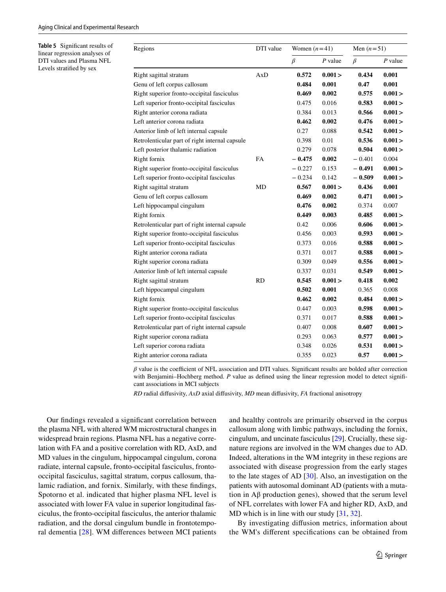<span id="page-6-0"></span>**Table 5** Signifcant results of linear regression analyses of DTI values and Plasma NFL Levels stratifed by sex

| Regions                                        | DTI value | Women $(n=41)$ |           | Men $(n=51)$ |           |  |
|------------------------------------------------|-----------|----------------|-----------|--------------|-----------|--|
|                                                |           | $\beta$        | $P$ value | $\beta$      | $P$ value |  |
| Right sagittal stratum                         | AxD       | 0.572          | 0.001 >   | 0.434        | 0.001     |  |
| Genu of left corpus callosum                   |           | 0.484          | 0.001     | 0.47         | 0.001     |  |
| Right superior fronto-occipital fasciculus     |           | 0.469          | 0.002     | 0.575        | 0.001 >   |  |
| Left superior fronto-occipital fasciculus      |           | 0.475          | 0.016     | 0.583        | 0.001 >   |  |
| Right anterior corona radiata                  |           | 0.384          | 0.013     | 0.566        | 0.001 >   |  |
| Left anterior corona radiata                   |           | 0.462          | 0.002     | 0.476        | 0.001 >   |  |
| Anterior limb of left internal capsule         |           | 0.27           | 0.088     | 0.542        | 0.001 >   |  |
| Retrolenticular part of right internal capsule |           | 0.398          | 0.01      | 0.536        | 0.001 >   |  |
| Left posterior thalamic radiation              |           | 0.279          | 0.078     | 0.504        | 0.001 >   |  |
| Right fornix                                   | FA        | $-0.475$       | 0.002     | $-0.401$     | 0.004     |  |
| Right superior fronto-occipital fasciculus     |           | $-0.227$       | 0.153     | $-0.491$     | 0.001 >   |  |
| Left superior fronto-occipital fasciculus      |           | $-0.234$       | 0.142     | $-0.509$     | 0.001 >   |  |
| Right sagittal stratum                         | MD        | 0.567          | 0.001 >   | 0.436        | 0.001     |  |
| Genu of left corpus callosum                   |           | 0.469          | 0.002     | 0.471        | 0.001 >   |  |
| Left hippocampal cingulum                      |           | 0.476          | 0.002     | 0.374        | 0.007     |  |
| Right fornix                                   |           | 0.449          | 0.003     | 0.485        | 0.001 >   |  |
| Retrolenticular part of right internal capsule |           | 0.42           | 0.006     | 0.606        | 0.001 >   |  |
| Right superior fronto-occipital fasciculus     |           | 0.456          | 0.003     | 0.593        | 0.001 >   |  |
| Left superior fronto-occipital fasciculus      |           | 0.373          | 0.016     | 0.588        | 0.001 >   |  |
| Right anterior corona radiata                  |           | 0.371          | 0.017     | 0.588        | 0.001 >   |  |
| Right superior corona radiata                  |           | 0.309          | 0.049     | 0.556        | 0.001 >   |  |
| Anterior limb of left internal capsule         |           | 0.337          | 0.031     | 0.549        | 0.001 >   |  |
| Right sagittal stratum                         | <b>RD</b> | 0.545          | 0.001 >   | 0.418        | 0.002     |  |
| Left hippocampal cingulum                      |           | 0.502          | 0.001     | 0.365        | 0.008     |  |
| Right fornix                                   |           | 0.462          | 0.002     | 0.484        | 0.001 >   |  |
| Right superior fronto-occipital fasciculus     |           | 0.447          | 0.003     | 0.598        | 0.001 >   |  |
| Left superior fronto-occipital fasciculus      |           | 0.371          | 0.017     | 0.588        | 0.001 >   |  |
| Retrolenticular part of right internal capsule |           | 0.407          | 0.008     | 0.607        | 0.001 >   |  |
| Right superior corona radiata                  |           | 0.293          | 0.063     | 0.577        | 0.001 >   |  |
| Left superior corona radiata                   |           | 0.348          | 0.026     | 0.531        | 0.001 >   |  |
| Right anterior corona radiata                  |           | 0.355          | 0.023     | 0.57         | 0.001 >   |  |

 $\beta$  value is the coefficient of NFL association and DTI values. Significant results are bolded after correction with Benjamini–Hochberg method. *P* value as defined using the linear regression model to detect significant associations in MCI subjects

*RD* radial difusivity, *AxD* axial difusivity, *MD* mean difusivity, *FA* fractional anisotropy

Our fndings revealed a signifcant correlation between the plasma NFL with altered WM microstructural changes in widespread brain regions. Plasma NFL has a negative correlation with FA and a positive correlation with RD, AxD, and MD values in the cingulum, hippocampal cingulum, corona radiate, internal capsule, fronto-occipital fasciculus, frontooccipital fasciculus, sagittal stratum, corpus callosum, thalamic radiation, and fornix. Similarly, with these fndings, Spotorno et al. indicated that higher plasma NFL level is associated with lower FA value in superior longitudinal fasciculus, the fronto-occipital fasciculus, the anterior thalamic radiation, and the dorsal cingulum bundle in frontotemporal dementia [[28](#page-8-26)]. WM diferences between MCI patients and healthy controls are primarily observed in the corpus callosum along with limbic pathways, including the fornix, cingulum, and uncinate fasciculus [[29\]](#page-8-27). Crucially, these signature regions are involved in the WM changes due to AD. Indeed, alterations in the WM integrity in these regions are associated with disease progression from the early stages to the late stages of AD [[30\]](#page-8-28). Also, an investigation on the patients with autosomal dominant AD (patients with a mutation in  $\mathbf{A}\beta$  production genes), showed that the serum level of NFL correlates with lower FA and higher RD, AxD, and MD which is in line with our study [[31,](#page-9-0) [32](#page-9-1)].

By investigating difusion metrics, information about the WM's diferent specifcations can be obtained from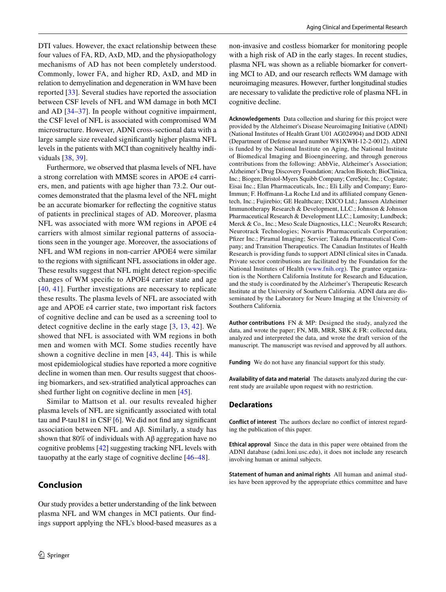DTI values. However, the exact relationship between these four values of FA, RD, AxD, MD, and the physiopathology mechanisms of AD has not been completely understood. Commonly, lower FA, and higher RD, AxD, and MD in relation to demyelination and degeneration in WM have been reported [[33\]](#page-9-2). Several studies have reported the association between CSF levels of NFL and WM damage in both MCI and AD [\[34–](#page-9-3)[37\]](#page-9-4). In people without cognitive impairment, the CSF level of NFL is associated with compromised WM microstructure. However, ADNI cross-sectional data with a large sample size revealed signifcantly higher plasma NFL levels in the patients with MCI than cognitively healthy individuals [\[38](#page-9-5), [39](#page-9-6)].

Furthermore, we observed that plasma levels of NFL have a strong correlation with MMSE scores in APOE ε4 carriers, men, and patients with age higher than 73.2. Our outcomes demonstrated that the plasma level of the NFL might be an accurate biomarker for refecting the cognitive status of patients in preclinical stages of AD. Moreover, plasma NFL was associated with more WM regions in APOE ε4 carriers with almost similar regional patterns of associations seen in the younger age. Moreover, the associations of NFL and WM regions in non-carrier APOE4 were similar to the regions with signifcant NFL associations in older age. These results suggest that NFL might detect region-specifc changes of WM specifc to APOE4 carrier state and age [\[40,](#page-9-7) [41\]](#page-9-8). Further investigations are necessary to replicate these results. The plasma levels of NFL are associated with age and APOE ε4 carrier state, two important risk factors of cognitive decline and can be used as a screening tool to detect cognitive decline in the early stage [[3](#page-8-2), [13,](#page-8-11) [42\]](#page-9-9). We showed that NFL is associated with WM regions in both men and women with MCI. Some studies recently have shown a cognitive decline in men  $[43, 44]$  $[43, 44]$  $[43, 44]$  $[43, 44]$  $[43, 44]$ . This is while most epidemiological studies have reported a more cognitive decline in women than men. Our results suggest that choosing biomarkers, and sex-stratifed analytical approaches can shed further light on cognitive decline in men [[45\]](#page-9-12).

Similar to Mattson et al. our results revealed higher plasma levels of NFL are signifcantly associated with total tau and P-tau181 in CSF [\[6](#page-8-5)]. We did not fnd any signifcant association between NFL and Aβ. Similarly, a study has shown that 80% of individuals with Aβ aggregation have no cognitive problems [[42\]](#page-9-9) suggesting tracking NFL levels with tauopathy at the early stage of cognitive decline [\[46](#page-9-13)[–48](#page-9-14)].

# **Conclusion**

Our study provides a better understanding of the link between plasma NFL and WM changes in MCI patients. Our fndings support applying the NFL's blood-based measures as a non-invasive and costless biomarker for monitoring people with a high risk of AD in the early stages. In recent studies, plasma NFL was shown as a reliable biomarker for converting MCI to AD, and our research refects WM damage with neuroimaging measures. However, further longitudinal studies are necessary to validate the predictive role of plasma NFL in cognitive decline.

**Acknowledgements** Data collection and sharing for this project were provided by the Alzheimer's Disease Neuroimaging Initiative (ADNI) (National Institutes of Health Grant U01 AG024904) and DOD ADNI (Department of Defense award number W81XWH-12-2-0012). ADNI is funded by the National Institute on Aging, the National Institute of Biomedical Imaging and Bioengineering, and through generous contributions from the following: AbbVie, Alzheimer's Association; Alzheimer's Drug Discovery Foundation; Araclon Biotech; BioClinica, Inc.; Biogen; Bristol-Myers Squibb Company; CereSpir, Inc.; Cogstate; Eisai Inc.; Elan Pharmaceuticals, Inc.; Eli Lilly and Company; Euro-Immun; F. Hoffmann-La Roche Ltd and its affiliated company Genentech, Inc.; Fujirebio; GE Healthcare; IXICO Ltd.; Janssen Alzheimer Immunotherapy Research & Development, LLC.; Johnson & Johnson Pharmaceutical Research & Development LLC.; Lumosity; Lundbeck; Merck & Co., Inc.; Meso Scale Diagnostics, LLC.; NeuroRx Research; Neurotrack Technologies; Novartis Pharmaceuticals Corporation; Pfzer Inc.; Piramal Imaging; Servier; Takeda Pharmaceutical Company; and Transition Therapeutics. The Canadian Institutes of Health Research is providing funds to support ADNI clinical sites in Canada. Private sector contributions are facilitated by the Foundation for the National Institutes of Health [\(www.fnih.org\)](http://www.fnih.org). The grantee organization is the Northern California Institute for Research and Education, and the study is coordinated by the Alzheimer's Therapeutic Research Institute at the University of Southern California. ADNI data are disseminated by the Laboratory for Neuro Imaging at the University of Southern California*.*

**Author contributions** FN & MP: Designed the study, analyzed the data, and wrote the paper; FN, MB, MRR, SBK & FR: collected data, analyzed and interpreted the data, and wrote the draft version of the manuscript. The manuscript was revised and approved by all authors.

**Funding** We do not have any fnancial support for this study.

**Availability of data and material** The datasets analyzed during the current study are available upon request with no restriction.

## **Declarations**

**Conflict of interest** The authors declare no confict of interest regarding the publication of this paper.

**Ethical approval** Since the data in this paper were obtained from the ADNI database (adni.loni.usc.edu), it does not include any research involving human or animal subjects.

**Statement of human and animal rights** All human and animal studies have been approved by the appropriate ethics committee and have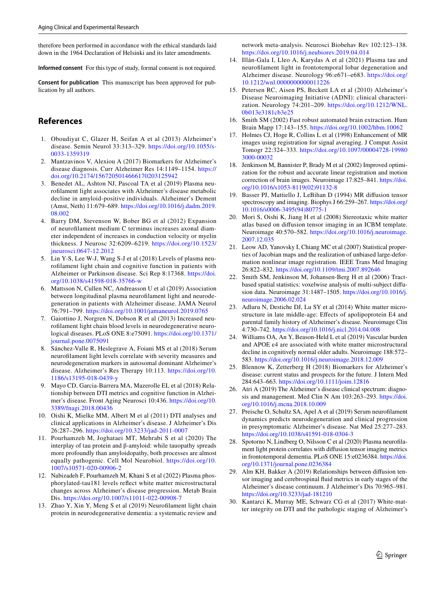therefore been performed in accordance with the ethical standards laid down in the 1964 Declaration of Helsinki and its later amendments.

**Informed consent** For this type of study, formal consent is not required.

**Consent for publication** This manuscript has been approved for publication by all authors.

# **References**

- <span id="page-8-0"></span>1. Oboudiyat C, Glazer H, Seifan A et al (2013) Alzheimer's disease. Semin Neurol 33:313–329. [https://doi.org/10.1055/s-](https://doi.org/10.1055/s-0033-1359319)[0033-1359319](https://doi.org/10.1055/s-0033-1359319)
- <span id="page-8-1"></span>2. Mantzavinos V, Alexiou A (2017) Biomarkers for Alzheimer's disease diagnosis. Curr Alzheimer Res 14:1149–1154. [https://](https://doi.org/10.2174/1567205014666170203125942) [doi.org/10.2174/1567205014666170203125942](https://doi.org/10.2174/1567205014666170203125942)
- <span id="page-8-2"></span>3. Benedet AL, Ashton NJ, Pascoal TA et al (2019) Plasma neuroflament light associates with Alzheimer's disease metabolic decline in amyloid-positive individuals. Alzheimer's Dement (Amst, Neth) 11:679–689. [https://doi.org/10.1016/j.dadm.2019.](https://doi.org/10.1016/j.dadm.2019.08.002) [08.002](https://doi.org/10.1016/j.dadm.2019.08.002)
- <span id="page-8-3"></span>4. Barry DM, Stevenson W, Bober BG et al (2012) Expansion of neuroflament medium C terminus increases axonal diameter independent of increases in conduction velocity or myelin thickness. J Neurosc 32:6209–6219. [https://doi.org/10.1523/](https://doi.org/10.1523/jneurosci.0647-12.2012) [jneurosci.0647-12.2012](https://doi.org/10.1523/jneurosci.0647-12.2012)
- <span id="page-8-4"></span>5. Lin Y-S, Lee W-J, Wang S-J et al (2018) Levels of plasma neuroflament light chain and cognitive function in patients with Alzheimer or Parkinson disease. Sci Rep 8:17368. [https://doi.](https://doi.org/10.1038/s41598-018-35766-w) [org/10.1038/s41598-018-35766-w](https://doi.org/10.1038/s41598-018-35766-w)
- <span id="page-8-5"></span>6. Mattsson N, Cullen NC, Andreasson U et al (2019) Association between longitudinal plasma neuroflament light and neurodegeneration in patients with Alzheimer disease. JAMA Neurol 76:791–799. <https://doi.org/10.1001/jamaneurol.2019.0765>
- 7. Gaiottino J, Norgren N, Dobson R et al (2013) Increased neuroflament light chain blood levels in neurodegenerative neurological diseases. PLoS ONE 8:e75091. [https://doi.org/10.1371/](https://doi.org/10.1371/journal.pone.0075091) [journal.pone.0075091](https://doi.org/10.1371/journal.pone.0075091)
- <span id="page-8-6"></span>8. Sánchez-Valle R, Heslegrave A, Foiani MS et al (2018) Serum neuroflament light levels correlate with severity measures and neurodegeneration markers in autosomal dominant Alzheimer's disease. Alzheimer's Res Therapy 10:113. [https://doi.org/10.](https://doi.org/10.1186/s13195-018-0439-y) [1186/s13195-018-0439-y](https://doi.org/10.1186/s13195-018-0439-y)
- <span id="page-8-7"></span>9. Mayo CD, Garcia-Barrera MA, Mazerolle EL et al (2018) Relationship between DTI metrics and cognitive function in Alzheimer's disease. Front Aging Neurosci 10:436. [https://doi.org/10.](https://doi.org/10.3389/fnagi.2018.00436) [3389/fnagi.2018.00436](https://doi.org/10.3389/fnagi.2018.00436)
- <span id="page-8-8"></span>10. Oishi K, Mielke MM, Albert M et al (2011) DTI analyses and clinical applications in Alzheimer's disease. J Alzheimer's Dis 26:287–296. <https://doi.org/10.3233/jad-2011-0007>
- <span id="page-8-9"></span>11. Pourhamzeh M, Joghataei MT, Mehrabi S et al (2020) The interplay of tau protein and β-amyloid: while tauopathy spreads more profoundly than amyloidopathy, both processes are almost equally pathogenic. Cell Mol Neurobiol. [https://doi.org/10.](https://doi.org/10.1007/s10571-020-00906-2) [1007/s10571-020-00906-2](https://doi.org/10.1007/s10571-020-00906-2)
- <span id="page-8-10"></span>12. Nabizadeh F, Pourhamzeh M, Khani S et al (2022) Plasma phosphorylated-tau181 levels refect white matter microstructural changes across Alzheimer's disease progression. Metab Brain Dis. <https://doi.org/10.1007/s11011-022-00908-7>
- <span id="page-8-11"></span>13. Zhao Y, Xin Y, Meng S et al (2019) Neuroflament light chain protein in neurodegenerative dementia: a systematic review and

network meta-analysis. Neurosci Biobehav Rev 102:123–138. <https://doi.org/10.1016/j.neubiorev.2019.04.014>

- <span id="page-8-12"></span>14. Illán-Gala I, Lleo A, Karydas A et al (2021) Plasma tau and neuroflament light in frontotemporal lobar degeneration and Alzheimer disease. Neurology 96:e671–e683. [https://doi.org/](https://doi.org/10.1212/wnl.0000000000011226) [10.1212/wnl.0000000000011226](https://doi.org/10.1212/wnl.0000000000011226)
- <span id="page-8-13"></span>15. Petersen RC, Aisen PS, Beckett LA et al (2010) Alzheimer's Disease Neuroimaging Initiative (ADNI): clinical characterization. Neurology 74:201–209. [https://doi.org/10.1212/WNL.](https://doi.org/10.1212/WNL.0b013e3181cb3e25) [0b013e3181cb3e25](https://doi.org/10.1212/WNL.0b013e3181cb3e25)
- <span id="page-8-14"></span>16. Smith SM (2002) Fast robust automated brain extraction. Hum Brain Mapp 17:143–155.<https://doi.org/10.1002/hbm.10062>
- <span id="page-8-15"></span>17. Holmes CJ, Hoge R, Collins L et al (1998) Enhancement of MR images using registration for signal averaging. J Comput Assist Tomogr 22:324–333. [https://doi.org/10.1097/00004728-19980](https://doi.org/10.1097/00004728-199803000-00032) [3000-00032](https://doi.org/10.1097/00004728-199803000-00032)
- <span id="page-8-16"></span>18. Jenkinson M, Bannister P, Brady M et al (2002) Improved optimization for the robust and accurate linear registration and motion correction of brain images. Neuroimage 17:825–841. [https://doi.](https://doi.org/10.1016/s1053-8119(02)91132-8) [org/10.1016/s1053-8119\(02\)91132-8](https://doi.org/10.1016/s1053-8119(02)91132-8)
- <span id="page-8-17"></span>19. Basser PJ, Mattiello J, LeBihan D (1994) MR difusion tensor spectroscopy and imaging. Biophys J 66:259–267. [https://doi.org/](https://doi.org/10.1016/s0006-3495(94)80775-1) [10.1016/s0006-3495\(94\)80775-1](https://doi.org/10.1016/s0006-3495(94)80775-1)
- <span id="page-8-18"></span>20. Mori S, Oishi K, Jiang H et al (2008) Stereotaxic white matter atlas based on difusion tensor imaging in an ICBM template. Neuroimage 40:570–582. [https://doi.org/10.1016/j.neuroimage.](https://doi.org/10.1016/j.neuroimage.2007.12.035) [2007.12.035](https://doi.org/10.1016/j.neuroimage.2007.12.035)
- <span id="page-8-19"></span>21. Leow AD, Yanovsky I, Chiang MC et al (2007) Statistical properties of Jacobian maps and the realization of unbiased large-deformation nonlinear image registration. IEEE Trans Med Imaging 26:822–832.<https://doi.org/10.1109/tmi.2007.892646>
- <span id="page-8-20"></span>22. Smith SM, Jenkinson M, Johansen-Berg H et al (2006) Tractbased spatial statistics: voxelwise analysis of multi-subject difusion data. Neuroimage 31:1487–1505. [https://doi.org/10.1016/j.](https://doi.org/10.1016/j.neuroimage.2006.02.024) [neuroimage.2006.02.024](https://doi.org/10.1016/j.neuroimage.2006.02.024)
- <span id="page-8-21"></span>23. Adluru N, Destiche DJ, Lu SY et al (2014) White matter microstructure in late middle-age: Efects of apolipoprotein E4 and parental family history of Alzheimer's disease. Neuroimage Clin 4:730–742.<https://doi.org/10.1016/j.nicl.2014.04.008>
- <span id="page-8-22"></span>24. Williams OA, An Y, Beason-Held L et al (2019) Vascular burden and APOE ε4 are associated with white matter microstructural decline in cognitively normal older adults. Neuroimage 188:572– 583.<https://doi.org/10.1016/j.neuroimage.2018.12.009>
- <span id="page-8-23"></span>25. Blennow K, Zetterberg H (2018) Biomarkers for Alzheimer's disease: current status and prospects for the future. J Intern Med 284:643–663. <https://doi.org/10.1111/joim.12816>
- <span id="page-8-24"></span>26. Atri A (2019) The Alzheimer's disease clinical spectrum: diagnosis and management. Med Clin N Am 103:263–293. [https://doi.](https://doi.org/10.1016/j.mcna.2018.10.009) [org/10.1016/j.mcna.2018.10.009](https://doi.org/10.1016/j.mcna.2018.10.009)
- <span id="page-8-25"></span>27. Preische O, Schultz SA, Apel A et al (2019) Serum neuroflament dynamics predicts neurodegeneration and clinical progression in presymptomatic Alzheimer's disease. Nat Med 25:277–283. <https://doi.org/10.1038/s41591-018-0304-3>
- <span id="page-8-26"></span>28. Spotorno N, Lindberg O, Nilsson C et al (2020) Plasma neuroflament light protein correlates with difusion tensor imaging metrics in frontotemporal dementia. PLoS ONE 15:e0236384. [https://doi.](https://doi.org/10.1371/journal.pone.0236384) [org/10.1371/journal.pone.0236384](https://doi.org/10.1371/journal.pone.0236384)
- <span id="page-8-27"></span>29. Alm KH, Bakker A (2019) Relationships between difusion tensor imaging and cerebrospinal fuid metrics in early stages of the Alzheimer's disease continuum. J Alzheimer's Dis 70:965–981. <https://doi.org/10.3233/jad-181210>
- <span id="page-8-28"></span>30. Kantarci K, Murray ME, Schwarz CG et al (2017) White-matter integrity on DTI and the pathologic staging of Alzheimer's